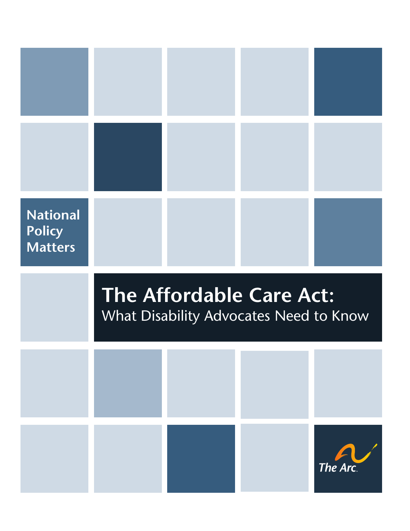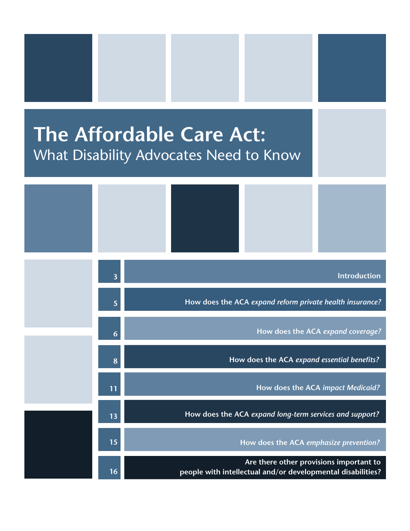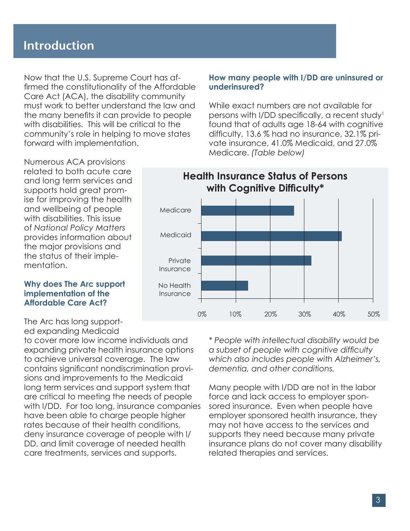# **Introduction**

Now that the U.S. Supreme Court has affirmed the constitutionality of the Affordable Care Act (ACA), the disability community must work to better understand the law and the many benefits it can provide to people with disabilities. This will be critical to the community's role in helping to move states forward with implementation.

#### **How many people with I/DD are uninsured or underinsured?**

While exact numbers are not available for persons with I/DD specifically, a recent study<sup>1</sup> found that of adults age 18-64 with cognitive difficulty, 13.6 % had no insurance, 32.1% private insurance, 41.0% Medicaid, and 27.0% Medicare. *(Table below)*

Numerous ACA provisions related to both acute care and long term services and supports hold great promise for improving the health and wellbeing of people with disabilities. This issue of *National Policy Matters* provides information about the major provisions and the status of their implementation.

#### **Why does The Arc support implementation of the Affordable Care Act?**

The Arc has long supported expanding Medicaid

to cover more low income individuals and expanding private health insurance options to achieve universal coverage. The law contains significant nondiscrimination provisions and improvements to the Medicaid long term services and support system that are critical to meeting the needs of people with I/DD. For too long, insurance companies have been able to charge people higher rates because of their health conditions, deny insurance coverage of people with I/ DD, and limit coverage of needed health care treatments, services and supports.

**Health Insurance Status of Persons with Cognitive Difficulty\*** Medicare Medicaid Private Insurance No Health Insurance 0% 10% 20% 30% 40% 50%

> *\* People with intellectual disability would be a subset of people with cognitive difficulty which also includes people with Alzheimer's, dementia, and other conditions.*

Many people with I/DD are not in the labor force and lack access to employer sponsored insurance. Even when people have employer sponsored health insurance, they may not have access to the services and supports they need because many private insurance plans do not cover many disability related therapies and services.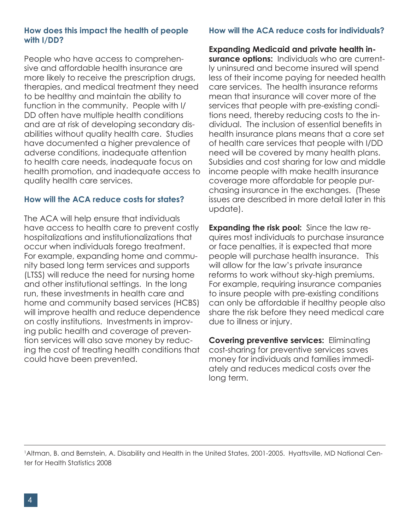#### **How does this impact the health of people with I/DD?**

People who have access to comprehensive and affordable health insurance are more likely to receive the prescription drugs, therapies, and medical treatment they need to be healthy and maintain the ability to function in the community. People with I/ DD often have multiple health conditions and are at risk of developing secondary disabilities without quality health care. Studies have documented a higher prevalence of adverse conditions, inadequate attention to health care needs, inadequate focus on health promotion, and inadequate access to quality health care services.

#### **How will the ACA reduce costs for states?**

The ACA will help ensure that individuals have access to health care to prevent costly hospitalizations and institutionalizations that occur when individuals forego treatment. For example, expanding home and community based long term services and supports (LTSS) will reduce the need for nursing home and other institutional settings. In the long run, these investments in health care and home and community based services (HCBS) will improve health and reduce dependence on costly institutions. Investments in improving public health and coverage of prevention services will also save money by reducing the cost of treating health conditions that could have been prevented.

## **How will the ACA reduce costs for individuals?**

**Expanding Medicaid and private health in-**

**surance options:** Individuals who are currently uninsured and become insured will spend less of their income paying for needed health care services. The health insurance reforms mean that insurance will cover more of the services that people with pre-existing conditions need, thereby reducing costs to the individual. The inclusion of essential benefits in health insurance plans means that a core set of health care services that people with I/DD need will be covered by many health plans. Subsidies and cost sharing for low and middle income people with make health insurance coverage more affordable for people purchasing insurance in the exchanges. (These issues are described in more detail later in this update).

**Expanding the risk pool:** Since the law requires most individuals to purchase insurance or face penalties, it is expected that more people will purchase health insurance. This will allow for the law's private insurance reforms to work without sky-high premiums. For example, requiring insurance companies to insure people with pre-existing conditions can only be affordable if healthy people also share the risk before they need medical care due to illness or injury.

**Covering preventive services:** Eliminating cost-sharing for preventive services saves money for individuals and families immediately and reduces medical costs over the long term.

1 Altman, B. and Bernstein, A. Disability and Health in the United States, 2001-2005. Hyattsville, MD National Center for Health Statistics 2008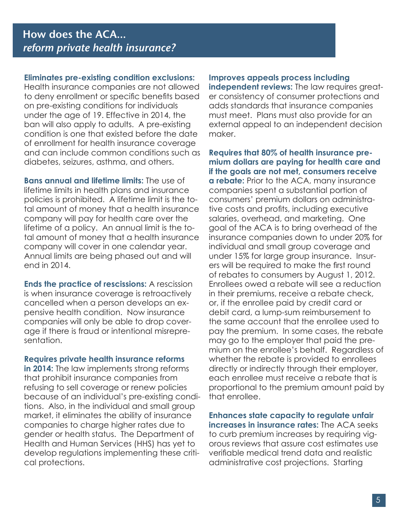#### **Eliminates pre-existing condition exclusions:**

Health insurance companies are not allowed to deny enrollment or specific benefits based on pre-existing conditions for individuals under the age of 19. Effective in 2014, the ban will also apply to adults. A pre-existing condition is one that existed before the date of enrollment for health insurance coverage and can include common conditions such as diabetes, seizures, asthma, and others.

**Bans annual and lifetime limits:** The use of lifetime limits in health plans and insurance policies is prohibited. A lifetime limit is the total amount of money that a health insurance company will pay for health care over the lifetime of a policy. An annual limit is the total amount of money that a health insurance company will cover in one calendar year. Annual limits are being phased out and will end in 2014.

**Ends the practice of rescissions:** A rescission is when insurance coverage is retroactively cancelled when a person develops an expensive health condition. Now insurance companies will only be able to drop coverage if there is fraud or intentional misrepresentation.

#### **Requires private health insurance reforms**

**in 2014:** The law implements strong reforms that prohibit insurance companies from refusing to sell coverage or renew policies because of an individual's pre-existing conditions. Also, in the individual and small group market, it eliminates the ability of insurance companies to charge higher rates due to gender or health status. The Department of Health and Human Services (HHS) has yet to develop regulations implementing these critical protections.

#### **Improves appeals process including**

**independent reviews:** The law requires greater consistency of consumer protections and adds standards that insurance companies must meet. Plans must also provide for an external appeal to an independent decision maker.

**Requires that 80% of health insurance premium dollars are paying for health care and if the goals are not met, consumers receive a rebate:** Prior to the ACA, many insurance companies spent a substantial portion of consumers' premium dollars on administrative costs and profits, including executive salaries, overhead, and marketing. One goal of the ACA is to bring overhead of the insurance companies down to under 20% for individual and small group coverage and under 15% for large group insurance. Insurers will be required to make the first round of rebates to consumers by August 1, 2012. Enrollees owed a rebate will see a reduction in their premiums, receive a rebate check, or, if the enrollee paid by credit card or debit card, a lump-sum reimbursement to the same account that the enrollee used to pay the premium. In some cases, the rebate may go to the employer that paid the premium on the enrollee's behalf. Regardless of whether the rebate is provided to enrollees directly or indirectly through their employer, each enrollee must receive a rebate that is proportional to the premium amount paid by that enrollee.

**Enhances state capacity to regulate unfair increases in insurance rates:** The ACA seeks to curb premium increases by requiring vigorous reviews that assure cost estimates use verifiable medical trend data and realistic administrative cost projections. Starting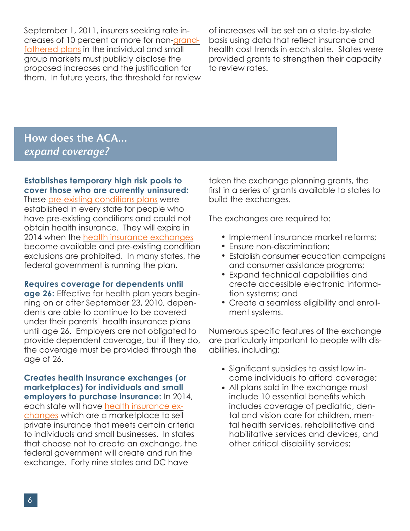September 1, 2011, insurers seeking rate increases of 10 percent or more for [non-grand](http://www.healthcare.gov/law/features/rights/grandfathered-plans/index.html)[fathered plans](http://www.healthcare.gov/law/features/rights/grandfathered-plans/index.html) in the individual and small group markets must publicly disclose the proposed increases and the justification for them. In future years, the threshold for review of increases will be set on a state-by-state basis using data that reflect insurance and health cost trends in each state. States were provided grants to strengthen their capacity to review rates.

# **How does the ACA...** *expand coverage?*

#### **Establishes temporary high risk pools to cover those who are currently uninsured:**

These [pre-existing conditions plans](http://www.healthcare.gov/law/features/choices/pre-existing-condition-insurance-plan/index.html) were established in every state for people who have pre-existing conditions and could not obtain health insurance. They will expire in 2014 when the [health insurance exchanges](http://www.healthcare.gov/law/features/choices/exchanges/index.html) become available and pre-existing condition exclusions are prohibited. In many states, the federal government is running the plan.

#### **Requires coverage for dependents until**

**age 26:** Effective for health plan years beginning on or after September 23, 2010, dependents are able to continue to be covered under their parents' health insurance plans until age 26. Employers are not obligated to provide dependent coverage, but if they do, the coverage must be provided through the age of 26.

**Creates health insurance exchanges (or marketplaces) for individuals and small employers to purchase insurance:** In 2014, each state will have [health insurance ex](http://www.healthcare.gov/law/features/choices/exchanges/index.html)[changes](http://www.healthcare.gov/law/features/choices/exchanges/index.html) which are a marketplace to sell private insurance that meets certain criteria to individuals and small businesses. In states that choose not to create an exchange, the federal government will create and run the exchange. Forty nine states and DC have

taken the exchange planning grants, the first in a series of grants available to states to build the exchanges.

The exchanges are required to:

- Implement insurance market reforms;
- Ensure non-discrimination; •
- Establish consumer education campaigns and consumer assistance programs;
- Expand technical capabilities and create accessible electronic information systems; and
- Create a seamless eligibility and enroll-• ment systems.

Numerous specific features of the exchange are particularly important to people with disabilities, including:

- Significant subsidies to assist low in-• come individuals to afford coverage;
- All plans sold in the exchange must •include 10 essential benefits which includes coverage of pediatric, dental and vision care for children, mental health services, rehabilitative and habilitative services and devices, and other critical disability services;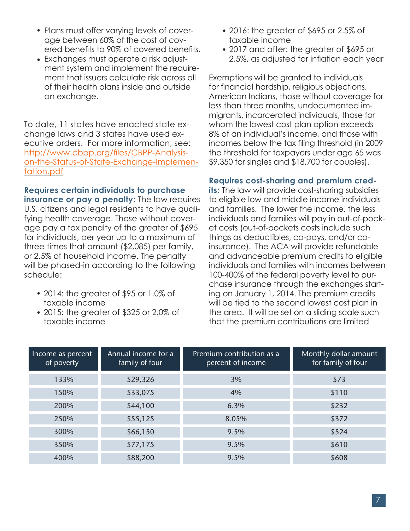- Plans must offer varying levels of coverage between 60% of the cost of covered benefits to 90% of covered benefits.
- Exchanges must operate a risk adjustment system and implement the requirement that issuers calculate risk across all of their health plans inside and outside an exchange.

To date, 11 states have enacted state exchange laws and 3 states have used executive orders. For more information, see: [http://www.cbpp.org/files/CBPP-Analysis](http://www.cbpp.org/files/CBPP-Analysis-on-the-Status-of-State-Exchange-Implementation.pdf)[on-the-Status-of-State-Exchange-Implemen](http://www.cbpp.org/files/CBPP-Analysis-on-the-Status-of-State-Exchange-Implementation.pdf)[tation.pdf](http://www.cbpp.org/files/CBPP-Analysis-on-the-Status-of-State-Exchange-Implementation.pdf)

**Requires certain individuals to purchase insurance or pay a penalty:** The law requires U.S. citizens and legal residents to have qualifying health coverage. Those without coverage pay a tax penalty of the greater of \$695 for individuals, per year up to a maximum of three times that amount (\$2,085) per family, or 2.5% of household income. The penalty will be phased-in according to the following

2014: the greater of \$95 or 1.0% of • taxable income

schedule:

2015: the greater of \$325 or 2.0% of • taxable income

- 2016: the greater of \$695 or 2.5% of taxable income
- 2017 and after: the greater of \$695 or 2.5%, as adjusted for inflation each year

Exemptions will be granted to individuals for financial hardship, religious objections, American Indians, those without coverage for less than three months, undocumented immigrants, incarcerated individuals, those for whom the lowest cost plan option exceeds 8% of an individual's income, and those with incomes below the tax filing threshold (in 2009 the threshold for taxpayers under age 65 was \$9,350 for singles and \$18,700 for couples).

### **Requires cost-sharing and premium cred-**

**its:** The law will provide cost-sharing subsidies to eligible low and middle income individuals and families. The lower the income, the less individuals and families will pay in out-of-pocket costs (out-of-pockets costs include such things as deductibles, co-pays, and/or coinsurance). The ACA will provide refundable and advanceable premium credits to eligible individuals and families with incomes between 100-400% of the federal poverty level to purchase insurance through the exchanges starting on January 1, 2014. The premium credits will be tied to the second lowest cost plan in the area. It will be set on a sliding scale such that the premium contributions are limited

| Income as percent<br>of poverty | Annual income for a<br>family of four | Premium contribution as a<br>percent of income | Monthly dollar amount<br>for family of four |
|---------------------------------|---------------------------------------|------------------------------------------------|---------------------------------------------|
| 133%                            | \$29,326                              | 3%                                             | \$73                                        |
| 150%                            | \$33,075                              | 4%                                             | \$110                                       |
| 200%                            | \$44,100                              | 6.3%                                           | \$232                                       |
| 250%                            | \$55,125                              | 8.05%                                          | \$372                                       |
| 300%                            | \$66,150                              | 9.5%                                           | \$524                                       |
| 350%                            | \$77,175                              | 9.5%                                           | \$610                                       |
| 400%                            | \$88,200                              | 9.5%                                           | \$608                                       |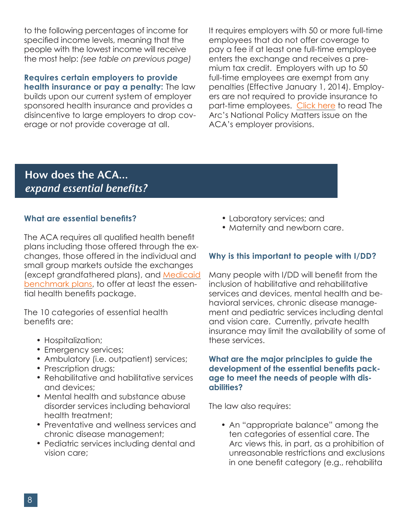to the following percentages of income for specified income levels, meaning that the people with the lowest income will receive the most help: *(see table on previous page)*

**Requires certain employers to provide health insurance or pay a penalty:** The law builds upon our current system of employer sponsored health insurance and provides a disincentive to large employers to drop coverage or not provide coverage at all.

It requires employers with 50 or more full-time employees that do not offer coverage to pay a fee if at least one full-time employee enters the exchange and receives a premium tax credit. Employers with up to 50 full-time employees are exempt from any penalties (Effective January 1, 2014). Employers are not required to provide insurance to part-time employees. [Click here](http://www.thearc.org/document.doc?id=3734) to read The Arc's National Policy Matters issue on the ACA's employer provisions.

# **How does the ACA...** *expand essential benefits?*

## **What are essential benefits?**

The ACA requires all qualified health benefit plans including those offered through the exchanges, those offered in the individual and small group markets outside the exchanges (except grandfathered plans), and [Medicaid](http://www.medicaid.gov/Medicaid-CHIP-Program-Information/By-Topics/Benefits/Benchmark-Benefits.html)  [benchmark plans,](http://www.medicaid.gov/Medicaid-CHIP-Program-Information/By-Topics/Benefits/Benchmark-Benefits.html) to offer at least the essential health benefits package.

The 10 categories of essential health benefits are:

- Hospitalization;
- Emergency services;
- Ambulatory (i.e. outpatient) services;
- Prescription drugs;
- Rehabilitative and habilitative services and devices;
- Mental health and substance abuse disorder services including behavioral health treatment;
- Preventative and wellness services and chronic disease management;
- Pediatric services including dental and vision care;
- Laboratory services; and •
- Maternity and newborn care.

## **Why is this important to people with I/DD?**

Many people with I/DD will benefit from the inclusion of habilitative and rehabilitative services and devices, mental health and behavioral services, chronic disease management and pediatric services including dental and vision care. Currently, private health insurance may limit the availability of some of these services.

#### **What are the major principles to guide the development of the essential benefits package to meet the needs of people with disabilities?**

The law also requires:

• An "appropriate balance" among the ten categories of essential care. The Arc views this, in part, as a prohibition of unreasonable restrictions and exclusions in one benefit category (e.g., rehabilita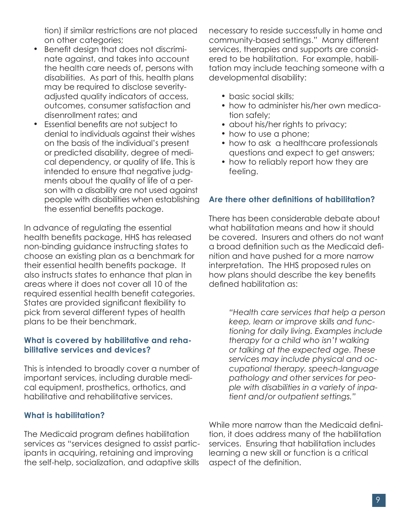tion) if similar restrictions are not placed on other categories;

- Benefit design that does not discriminate against, and takes into account the health care needs of, persons with disabilities. As part of this, health plans may be required to disclose severityadjusted quality indicators of access, outcomes, consumer satisfaction and disenrollment rates; and
- Essential benefits are not subject to denial to individuals against their wishes on the basis of the individual's present or predicted disability, degree of medical dependency, or quality of life. This is intended to ensure that negative judgments about the quality of life of a person with a disability are not used against people with disabilities when establishing the essential benefits package.

In advance of regulating the essential health benefits package, HHS has released non-binding guidance instructing states to choose an existing plan as a benchmark for their essential health benefits package. It also instructs states to enhance that plan in areas where it does not cover all 10 of the required essential health benefit categories. States are provided significant flexibility to pick from several different types of health plans to be their benchmark.

#### **What is covered by habilitative and rehabilitative services and devices?**

This is intended to broadly cover a number of important services, including durable medical equipment, prosthetics, orthotics, and habilitative and rehabilitative services.

### **What is habilitation?**

The Medicaid program defines habilitation services as "services designed to assist participants in acquiring, retaining and improving the self-help, socialization, and adaptive skills

necessary to reside successfully in home and community-based settings." Many different services, therapies and supports are considered to be habilitation. For example, habilitation may include teaching someone with a developmental disability:

- basic social skills;
- how to administer his/her own medication safely;
- about his/her rights to privacy;
- how to use a phone;
- how to ask a healthcare professionals questions and expect to get answers;
- how to reliably report how they are feeling.

### **Are there other definitions of habilitation?**

There has been considerable debate about what habilitation means and how it should be covered. Insurers and others do not want a broad definition such as the Medicaid definition and have pushed for a more narrow interpretation. The HHS proposed rules on how plans should describe the key benefits defined habilitation as:

> *"Health care services that help a person keep, learn or improve skills and functioning for daily living. Examples include therapy for a child who isn't walking or talking at the expected age. These services may include physical and occupational therapy, speech-language pathology and other services for people with disabilities in a variety of inpatient and/or outpatient settings."*

While more narrow than the Medicaid definition, it does address many of the habilitation services. Ensuring that habilitation includes learning a new skill or function is a critical aspect of the definition.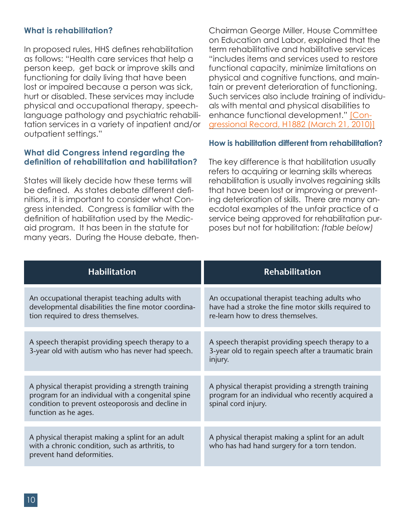#### **What is rehabilitation?**

In proposed rules, HHS defines rehabilitation as follows: "Health care services that help a person keep, get back or improve skills and functioning for daily living that have been lost or impaired because a person was sick, hurt or disabled. These services may include physical and occupational therapy, speechlanguage pathology and psychiatric rehabilitation services in a variety of inpatient and/or outpatient settings."

#### **What did Congress intend regarding the definition of rehabilitation and habilitation?**

States will likely decide how these terms will be defined. As states debate different definitions, it is important to consider what Congress intended. Congress is familiar with the definition of habilitation used by the Medicaid program. It has been in the statute for many years. During the House debate, thenChairman George Miller, House Committee on Education and Labor, explained that the term rehabilitative and habilitative services "includes items and services used to restore functional capacity, minimize limitations on physical and cognitive functions, and maintain or prevent deterioration of functioning. Such services also include training of individuals with mental and physical disabilities to enhance functional development." [\[Con](http://www.dredf.org/healthcare/Miller-exerpt-Congressional-Record.pdf)[gressional Record, H1882 \(March 21, 2010\)\]](http://www.dredf.org/healthcare/Miller-exerpt-Congressional-Record.pdf)

#### **How is habilitation different from rehabilitation?**

The key difference is that habilitation usually refers to acquiring or learning skills whereas rehabilitation is usually involves regaining skills that have been lost or improving or preventing deterioration of skills. There are many anecdotal examples of the unfair practice of a service being approved for rehabilitation purposes but not for habilitation: *(table below)*

| <b>Habilitation</b>                                                                                                                                                                 | <b>Rehabilitation</b>                                                                                                                     |  |
|-------------------------------------------------------------------------------------------------------------------------------------------------------------------------------------|-------------------------------------------------------------------------------------------------------------------------------------------|--|
| An occupational therapist teaching adults with<br>developmental disabilities the fine motor coordina-<br>tion required to dress themselves.                                         | An occupational therapist teaching adults who<br>have had a stroke the fine motor skills required to<br>re-learn how to dress themselves. |  |
| A speech therapist providing speech therapy to a<br>3-year old with autism who has never had speech.                                                                                | A speech therapist providing speech therapy to a<br>3-year old to regain speech after a traumatic brain<br>injury.                        |  |
| A physical therapist providing a strength training<br>program for an individual with a congenital spine<br>condition to prevent osteoporosis and decline in<br>function as he ages. | A physical therapist providing a strength training<br>program for an individual who recently acquired a<br>spinal cord injury.            |  |
| A physical therapist making a splint for an adult<br>with a chronic condition, such as arthritis, to<br>prevent hand deformities.                                                   | A physical therapist making a splint for an adult<br>who has had hand surgery for a torn tendon.                                          |  |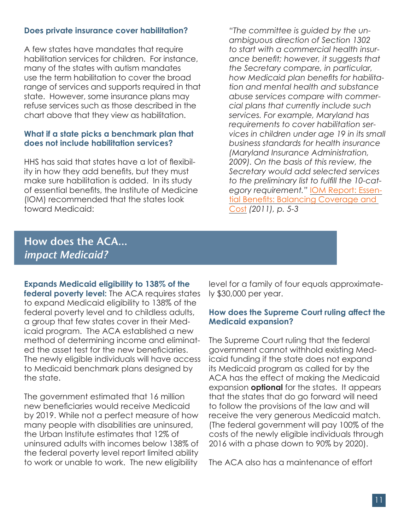#### **Does private insurance cover habilitation?**

A few states have mandates that require habilitation services for children. For instance, many of the states with autism mandates use the term habilitation to cover the broad range of services and supports required in that state. However, some insurance plans may refuse services such as those described in the chart above that they view as habilitation.

#### **What if a state picks a benchmark plan that does not include habilitation services?**

HHS has said that states have a lot of flexibility in how they add benefits, but they must make sure habilitation is added. In its study of essential benefits, the Institute of Medicine (IOM) recommended that the states look toward Medicaid:

*"The committee is guided by the unambiguous direction of Section 1302 to start with a commercial health insurance benefit; however, it suggests that the Secretary compare, in particular, how Medicaid plan benefits for habilitation and mental health and substance abuse services compare with commercial plans that currently include such services. For example, Maryland has requirements to cover habilitation services in children under age 19 in its small business standards for health insurance (Maryland Insurance Administration, 2009). On the basis of this review, the Secretary would add selected services to the preliminary list to fulfill the 10-category requirement."* [IOM Report: Essen](http://www.iom.edu/Reports/2011/Essential-Health-Benefits-Balancing-Coverage-and-Cost.aspx)[tial Benefits: Balancing Coverage and](http://www.iom.edu/Reports/2011/Essential-Health-Benefits-Balancing-Coverage-and-Cost.aspx)  [Cost](http://www.iom.edu/Reports/2011/Essential-Health-Benefits-Balancing-Coverage-and-Cost.aspx) *(2011), p. 5-3* 

# **How does the ACA...** *impact Medicaid?*

**Expands Medicaid eligibility to 138% of the federal poverty level:** The ACA requires states to expand Medicaid eligibility to 138% of the federal poverty level and to childless adults, a group that few states cover in their Medicaid program. The ACA established a new method of determining income and eliminated the asset test for the new beneficiaries. The newly eligible individuals will have access to Medicaid benchmark plans designed by the state.

The government estimated that 16 million new beneficiaries would receive Medicaid by 2019. While not a perfect measure of how many people with disabilities are uninsured, the Urban Institute estimates that 12% of uninsured adults with incomes below 138% of the federal poverty level report limited ability to work or unable to work. The new eligibility

level for a family of four equals approximately \$30,000 per year.

#### **How does the Supreme Court ruling affect the Medicaid expansion?**

The Supreme Court ruling that the federal government cannot withhold existing Medicaid funding if the state does not expand its Medicaid program as called for by the ACA has the effect of making the Medicaid expansion **optional** for the states. It appears that the states that do go forward will need to follow the provisions of the law and will receive the very generous Medicaid match. (The federal government will pay 100% of the costs of the newly eligible individuals through 2016 with a phase down to 90% by 2020).

The ACA also has a maintenance of effort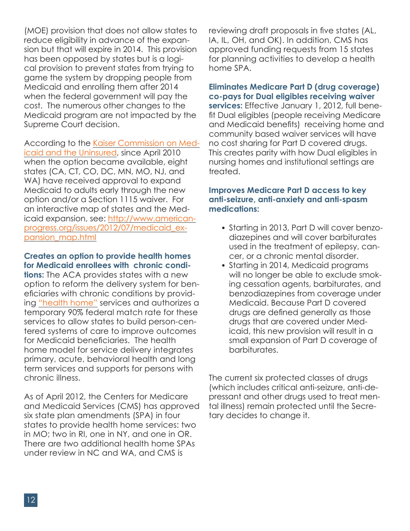(MOE) provision that does not allow states to reduce eligibility in advance of the expansion but that will expire in 2014. This provision has been opposed by states but is a logical provision to prevent states from trying to game the system by dropping people from Medicaid and enrolling them after 2014 when the federal government will pay the cost. The numerous other changes to the Medicaid program are not impacted by the Supreme Court decision.

According to the [Kaiser Commission on Med-](http://www.kff.org/medicaid/upload/8312.pdf)

[icaid and the Uninsured](http://www.kff.org/medicaid/upload/8312.pdf), since April 2010 when the option became available, eight states (CA, CT, CO, DC, MN, MO, NJ, and WA) have received approval to expand Medicaid to adults early through the new option and/or a Section 1115 waiver. For an interactive map of states and the Medicaid expansion, see: [http://www.american](http://www.americanprogress.org/issues/healthcare/news/2012/07/05/11829/interactive-map-why-the-supreme-courts-ruling-on-medicaid-creates-uncertainty-for-millions/)[progress.org/issues/2012/07/medicaid\\_ex](http://www.americanprogress.org/issues/healthcare/news/2012/07/05/11829/interactive-map-why-the-supreme-courts-ruling-on-medicaid-creates-uncertainty-for-millions/)[pansion\\_map.html](http://www.americanprogress.org/issues/healthcare/news/2012/07/05/11829/interactive-map-why-the-supreme-courts-ruling-on-medicaid-creates-uncertainty-for-millions/)

#### **Creates an option to provide health homes for Medicaid enrollees with chronic condi-**

**tions:** The ACA provides states with a new option to reform the delivery system for beneficiaries with chronic conditions by providing ["health home"](http://www.kff.org/medicaid/upload/8136.pdf) services and authorizes a temporary 90% federal match rate for these services to allow states to build person-centered systems of care to improve outcomes for Medicaid beneficiaries. The health home model for service delivery integrates primary, acute, behavioral health and long term services and supports for persons with chronic illness.

As of April 2012, the Centers for Medicare and Medicaid Services (CMS) has approved six state plan amendments (SPA) in four states to provide health home services: two in MO; two in RI, one in NY, and one in OR. There are two additional health home SPAs under review in NC and WA, and CMS is

reviewing draft proposals in five states (AL, IA, IL, OH, and OK). In addition, CMS has approved funding requests from 15 states for planning activities to develop a health home SPA.

### **Eliminates Medicare Part D (drug coverage) co-pays for Dual eligibles receiving waiver**

**services:** Effective January 1, 2012, full benefit Dual eligibles (people receiving Medicare and Medicaid benefits) receiving home and community based waiver services will have no cost sharing for Part D covered drugs. This creates parity with how Dual eligibles in nursing homes and institutional settings are treated.

### **Improves Medicare Part D access to key anti-seizure, anti-anxiety and anti-spasm medications:**

- Starting in 2013, Part D will cover benzodiazepines and will cover barbiturates used in the treatment of epilepsy, cancer, or a chronic mental disorder.
- Starting in 2014, Medicaid programs •will no longer be able to exclude smoking cessation agents, barbiturates, and benzodiazepines from coverage under Medicaid. Because Part D covered drugs are defined generally as those drugs that are covered under Medicaid, this new provision will result in a small expansion of Part D coverage of barbiturates.

The current six protected classes of drugs (which includes critical anti-seizure, anti-depressant and other drugs used to treat mental illness) remain protected until the Secretary decides to change it.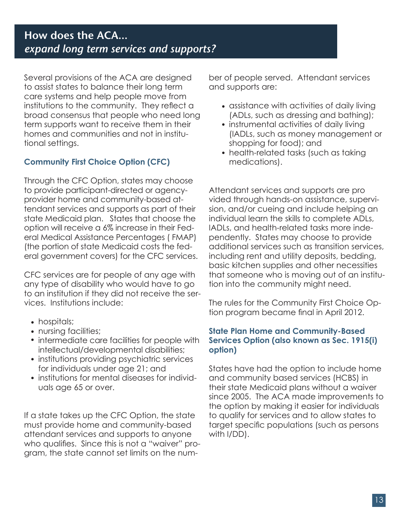# **How does the ACA...** *expand long term services and supports?*

Several provisions of the ACA are designed to assist states to balance their long term care systems and help people move from institutions to the community. They reflect a broad consensus that people who need long term supports want to receive them in their homes and communities and not in institutional settings.

# **Community First Choice Option (CFC)**

Through the CFC Option, states may choose to provide participant-directed or agencyprovider home and community-based attendant services and supports as part of their state Medicaid plan. States that choose the option will receive a 6% increase in their Federal Medical Assistance Percentages ( FMAP) (the portion of state Medicaid costs the federal government covers) for the CFC services.

CFC services are for people of any age with any type of disability who would have to go to an institution if they did not receive the services. Institutions include:

- hospitals;
- nursing facilities;
- intermediate care facilities for people with intellectual/developmental disabilities;
- institutions providing psychiatric services for individuals under age 21; and
- institutions for mental diseases for individuals age 65 or over.

If a state takes up the CFC Option, the state must provide home and community-based attendant services and supports to anyone who qualifies. Since this is not a "waiver" program, the state cannot set limits on the number of people served. Attendant services and supports are:

- assistance with activities of daily living (ADLs, such as dressing and bathing);
- instrumental activities of daily living (IADLs, such as money management or shopping for food); and
- health-related tasks (such as taking medications).

Attendant services and supports are pro vided through hands-on assistance, supervision, and/or cueing and include helping an individual learn the skills to complete ADLs, IADLs, and health-related tasks more independently. States may choose to provide additional services such as transition services, including rent and utility deposits, bedding, basic kitchen supplies and other necessities that someone who is moving out of an institution into the community might need.

The rules for the Community First Choice Option program became final in April 2012.

### **State Plan Home and Community-Based Services Option (also known as Sec. 1915(i) option)**

States have had the option to include home and community based services (HCBS) in their state Medicaid plans without a waiver since 2005. The ACA made improvements to the option by making it easier for individuals to qualify for services and to allow states to target specific populations (such as persons with I/DD).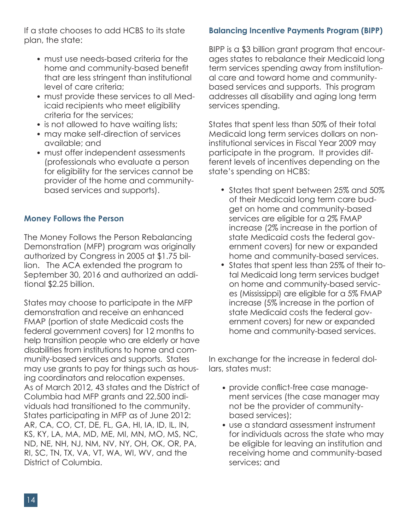If a state chooses to add HCBS to its state plan, the state:

- must use needs-based criteria for the home and community-based benefit that are less stringent than institutional level of care criteria;
- must provide these services to all Med-• icaid recipients who meet eligibility criteria for the services;
- is not allowed to have waiting lists;
- may make self-direction of services available; and
- must offer independent assessments (professionals who evaluate a person for eligibility for the services cannot be provider of the home and communitybased services and supports).

## **Money Follows the Person**

The Money Follows the Person Rebalancing Demonstration (MFP) program was originally authorized by Congress in 2005 at \$1.75 billion. The ACA extended the program to September 30, 2016 and authorized an additional \$2.25 billion.

States may choose to participate in the MFP demonstration and receive an enhanced FMAP (portion of state Medicaid costs the federal government covers) for 12 months to help transition people who are elderly or have disabilities from institutions to home and community-based services and supports. States may use grants to pay for things such as housing coordinators and relocation expenses. As of March 2012, 43 states and the District of Columbia had MFP grants and 22,500 individuals had transitioned to the community. States participating in MFP as of June 2012: AR, CA, CO, CT, DE, FL, GA, HI, IA, ID, IL, IN, KS, KY, LA, MA, MD, ME, MI, MN, MO, MS, NC, ND, NE, NH, NJ, NM, NV, NY, OH, OK, OR, PA, RI, SC, TN, TX, VA, VT, WA, WI, WV, and the District of Columbia.

# **Balancing Incentive Payments Program (BIPP)**

BIPP is a \$3 billion grant program that encourages states to rebalance their Medicaid long term services spending away from institutional care and toward home and communitybased services and supports. This program addresses all disability and aging long term services spending.

States that spent less than 50% of their total Medicaid long term services dollars on noninstitutional services in Fiscal Year 2009 may participate in the program. It provides different levels of incentives depending on the state's spending on HCBS:

- States that spent between 25% and 50% of their Medicaid long term care budget on home and community-based services are eligible for a 2% FMAP increase (2% increase in the portion of state Medicaid costs the federal government covers) for new or expanded home and community-based services.
- States that spent less than 25% of their total Medicaid long term services budget on home and community-based services (Mississippi) are eligible for a 5% FMAP increase (5% increase in the portion of state Medicaid costs the federal government covers) for new or expanded home and community-based services.

In exchange for the increase in federal dollars, states must:

- provide conflict-free case manage-• ment services (the case manager may not be the provider of communitybased services);
- use a standard assessment instrument •for individuals across the state who may be eligible for leaving an institution and receiving home and community-based services; and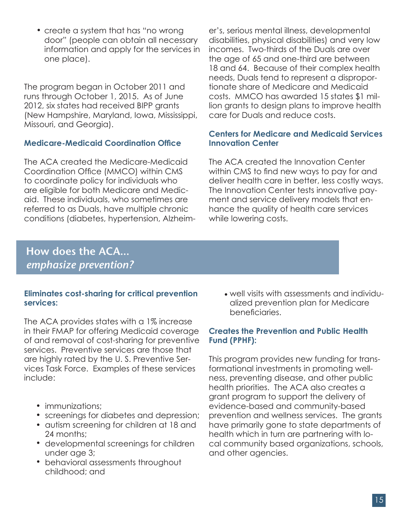• create a system that has "no wrong door" (people can obtain all necessary information and apply for the services in one place).

The program began in October 2011 and runs through October 1, 2015. As of June 2012, six states had received BIPP grants (New Hampshire, Maryland, Iowa, Mississippi, Missouri, and Georgia).

## **Medicare-Medicaid Coordination Office**

The ACA created the Medicare-Medicaid Coordination Office (MMCO) within CMS to coordinate policy for individuals who are eligible for both Medicare and Medicaid. These individuals, who sometimes are referred to as Duals, have multiple chronic conditions (diabetes, hypertension, Alzheim-

er's, serious mental illness, developmental disabilities, physical disabilities) and very low incomes. Two-thirds of the Duals are over the age of 65 and one-third are between 18 and 64. Because of their complex health needs, Duals tend to represent a disproportionate share of Medicare and Medicaid costs. MMCO has awarded 15 states \$1 million grants to design plans to improve health care for Duals and reduce costs.

### **Centers for Medicare and Medicaid Services Innovation Center**

The ACA created the Innovation Center within CMS to find new ways to pay for and deliver health care in better, less costly ways. The Innovation Center tests innovative payment and service delivery models that enhance the quality of health care services while lowering costs.

# **How does the ACA...** *emphasize prevention?*

### **Eliminates cost-sharing for critical prevention services:**

The ACA provides states with a 1% increase in their FMAP for offering Medicaid coverage of and removal of cost-sharing for preventive services. Preventive services are those that are highly rated by the U. S. Preventive Services Task Force. Examples of these services include:

- immunizations;
- screenings for diabetes and depression;
- autism screening for children at 18 and 24 months;
- developmental screenings for children under age 3;
- behavioral assessments throughout childhood; and

well visits with assessments and individu-•alized prevention plan for Medicare beneficiaries.

### **Creates the Prevention and Public Health Fund (PPHF):**

This program provides new funding for transformational investments in promoting wellness, preventing disease, and other public health priorities. The ACA also creates a grant program to support the delivery of evidence-based and community-based prevention and wellness services. The grants have primarily gone to state departments of health which in turn are partnering with local community based organizations, schools, and other agencies.